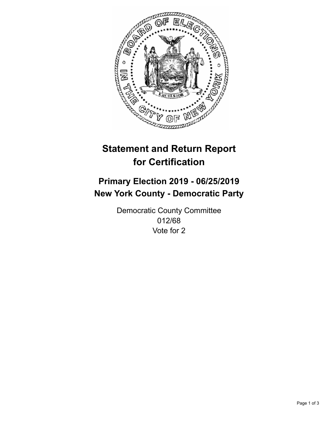

## **Statement and Return Report for Certification**

## **Primary Election 2019 - 06/25/2019 New York County - Democratic Party**

Democratic County Committee 012/68 Vote for 2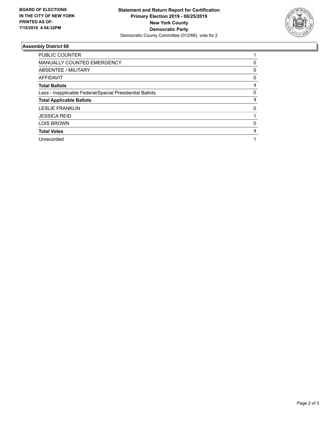

## **Assembly District 68**

| PUBLIC COUNTER                                           |          |
|----------------------------------------------------------|----------|
| <b>MANUALLY COUNTED EMERGENCY</b>                        | 0        |
| ABSENTEE / MILITARY                                      | 0        |
| <b>AFFIDAVIT</b>                                         | 0        |
| <b>Total Ballots</b>                                     |          |
| Less - Inapplicable Federal/Special Presidential Ballots | $\Omega$ |
| <b>Total Applicable Ballots</b>                          |          |
| <b>LESLIE FRANKLIN</b>                                   | 0        |
| <b>JESSICA REID</b>                                      |          |
| <b>LOIS BROWN</b>                                        | $\Omega$ |
| <b>Total Votes</b>                                       |          |
| Unrecorded                                               |          |